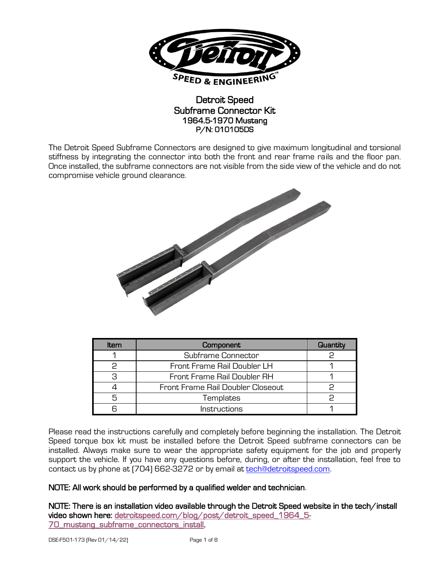

## Detroit Speed Subframe Connector Kit 1964.5-1970 Mustang P/N: 010105DS

The Detroit Speed Subframe Connectors are designed to give maximum longitudinal and torsional stiffness by integrating the connector into both the front and rear frame rails and the floor pan. Once installed, the subframe connectors are not visible from the side view of the vehicle and do not compromise vehicle ground clearance.



| Item | Component                         | Quantity |
|------|-----------------------------------|----------|
|      | Subframe Connector                |          |
| 2    | Front Frame Rail Doubler LH       |          |
| R    | Front Frame Rail Doubler RH       |          |
|      | Front Frame Rail Doubler Closeout |          |
| 5    | Templates                         |          |
|      | <b>Instructions</b>               |          |

Please read the instructions carefully and completely before beginning the installation. The Detroit Speed torque box kit must be installed before the Detroit Speed subframe connectors can be installed. Always make sure to wear the appropriate safety equipment for the job and properly support the vehicle. If you have any questions before, during, or after the installation, feel free to contact us by phone at (704) 662-3272 or by email at [tech@detroitspeed.com.](mailto:tech@detroitspeed.com)

## NOTE: All work should be performed by a qualified welder and technician.

NOTE: There is an installation video available through the Detroit Speed website in the tech/install video shown here: [detroitspeed.com/blog/post/detroit\\_speed\\_1964\\_5-](https://www.detroitspeed.com/blog/post/detroit_speed_1964_5-70_mustang_subframe_connectors_install/) [70\\_mustang\\_subframe\\_connectors\\_install.](https://www.detroitspeed.com/blog/post/detroit_speed_1964_5-70_mustang_subframe_connectors_install/)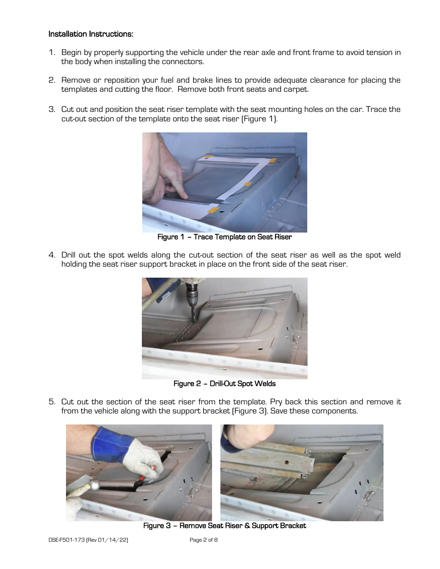## Installation Instructions:

- 1. Begin by properly supporting the vehicle under the rear axle and front frame to avoid tension in the body when installing the connectors.
- 2. Remove or reposition your fuel and brake lines to provide adequate clearance for placing the templates and cutting the floor. Remove both front seats and carpet.
- 3. Cut out and position the seat riser template with the seat mounting holes on the car. Trace the cut-out section of the template onto the seat riser (Figure 1).



Figure 1 – Trace Template on Seat Riser

4. Drill out the spot welds along the cut-out section of the seat riser as well as the spot weld holding the seat riser support bracket in place on the front side of the seat riser.



Figure 2 – Drill-Out Spot Welds

5. Cut out the section of the seat riser from the template. Pry back this section and remove it from the vehicle along with the support bracket (Figure 3). Save these components.



Figure 3 – Remove Seat Riser & Support Bracket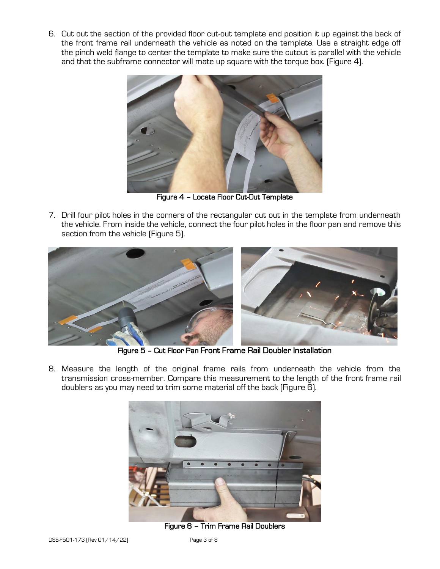6. Cut out the section of the provided floor cut-out template and position it up against the back of the front frame rail underneath the vehicle as noted on the template. Use a straight edge off the pinch weld flange to center the template to make sure the cutout is parallel with the vehicle and that the subframe connector will mate up square with the torque box. (Figure 4).



Figure 4 – Locate Floor Cut-Out Template

7. Drill four pilot holes in the corners of the rectangular cut out in the template from underneath the vehicle. From inside the vehicle, connect the four pilot holes in the floor pan and remove this section from the vehicle (Figure 5).



Figure 5 – Cut Floor Pan Front Frame Rail Doubler Installation

8. Measure the length of the original frame rails from underneath the vehicle from the transmission cross-member. Compare this measurement to the length of the front frame rail doublers as you may need to trim some material off the back (Figure 6).



Figure 6 – Trim Frame Rail Doublers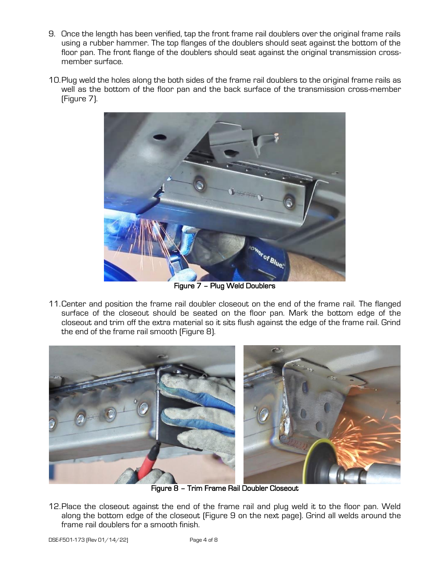- 9. Once the length has been verified, tap the front frame rail doublers over the original frame rails using a rubber hammer. The top flanges of the doublers should seat against the bottom of the floor pan. The front flange of the doublers should seat against the original transmission crossmember surface.
- 10.Plug weld the holes along the both sides of the frame rail doublers to the original frame rails as well as the bottom of the floor pan and the back surface of the transmission cross-member (Figure 7).



Figure 7 – Plug Weld Doublers

11.Center and position the frame rail doubler closeout on the end of the frame rail. The flanged surface of the closeout should be seated on the floor pan. Mark the bottom edge of the closeout and trim off the extra material so it sits flush against the edge of the frame rail. Grind the end of the frame rail smooth (Figure 8).



Figure 8 – Trim Frame Rail Doubler Closeout

12.Place the closeout against the end of the frame rail and plug weld it to the floor pan. Weld along the bottom edge of the closeout (Figure 9 on the next page). Grind all welds around the frame rail doublers for a smooth finish.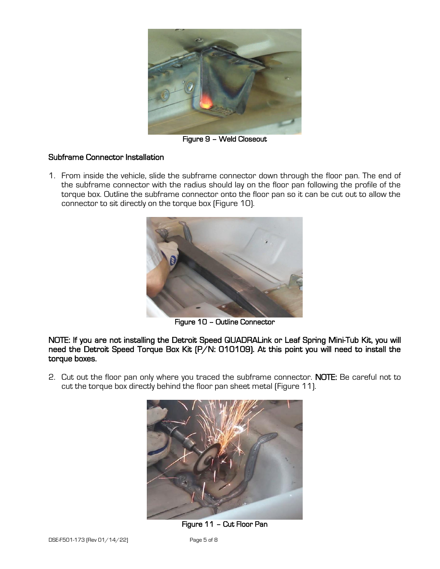

Figure 9 – Weld Closeout

## Subframe Connector Installation

1. From inside the vehicle, slide the subframe connector down through the floor pan. The end of the subframe connector with the radius should lay on the floor pan following the profile of the torque box. Outline the subframe connector onto the floor pan so it can be cut out to allow the connector to sit directly on the torque box (Figure 10).



Figure 10 – Outline Connector

NOTE: If you are not installing the Detroit Speed QUADRALink or Leaf Spring Mini-Tub Kit, you will need the Detroit Speed Torque Box Kit (P/N: 010109). At this point you will need to install the torque boxes.

2. Cut out the floor pan only where you traced the subframe connector. NOTE: Be careful not to cut the torque box directly behind the floor pan sheet metal (Figure 11).



Figure 11 – Cut Floor Pan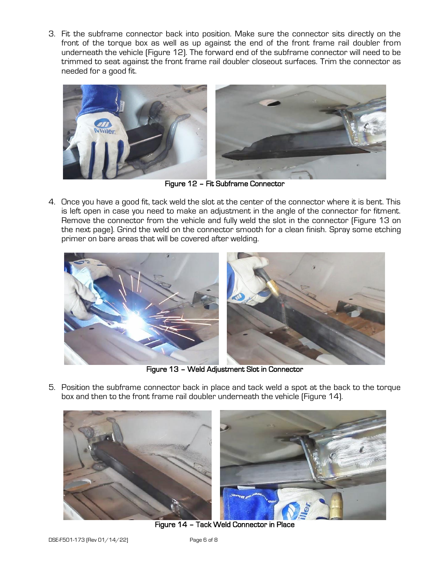3. Fit the subframe connector back into position. Make sure the connector sits directly on the front of the torque box as well as up against the end of the front frame rail doubler from underneath the vehicle (Figure 12). The forward end of the subframe connector will need to be trimmed to seat against the front frame rail doubler closeout surfaces. Trim the connector as needed for a good fit.



Figure 12 – Fit Subframe Connector

4. Once you have a good fit, tack weld the slot at the center of the connector where it is bent. This is left open in case you need to make an adjustment in the angle of the connector for fitment. Remove the connector from the vehicle and fully weld the slot in the connector (Figure 13 on the next page). Grind the weld on the connector smooth for a clean finish. Spray some etching primer on bare areas that will be covered after welding.



Figure 13 – Weld Adjustment Slot in Connector

5. Position the subframe connector back in place and tack weld a spot at the back to the torque box and then to the front frame rail doubler underneath the vehicle (Figure 14).



Figure 14 – Tack Weld Connector in Place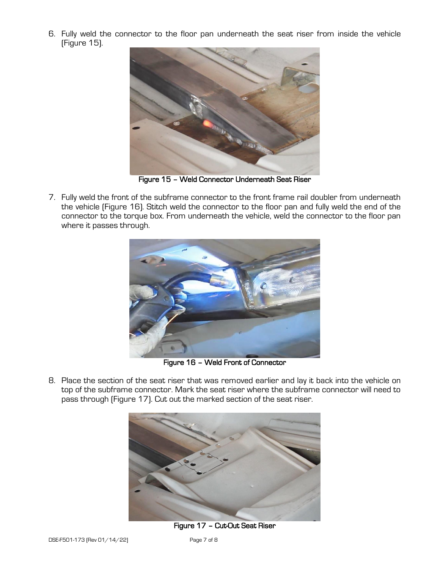6. Fully weld the connector to the floor pan underneath the seat riser from inside the vehicle (Figure 15).



Figure 15 – Weld Connector Underneath Seat Riser

7. Fully weld the front of the subframe connector to the front frame rail doubler from underneath the vehicle (Figure 16). Stitch weld the connector to the floor pan and fully weld the end of the connector to the torque box. From underneath the vehicle, weld the connector to the floor pan where it passes through.



Figure 16 – Weld Front of Connector

8. Place the section of the seat riser that was removed earlier and lay it back into the vehicle on top of the subframe connector. Mark the seat riser where the subframe connector will need to pass through (Figure 17). Cut out the marked section of the seat riser.



Figure 17 – Cut-Out Seat Riser